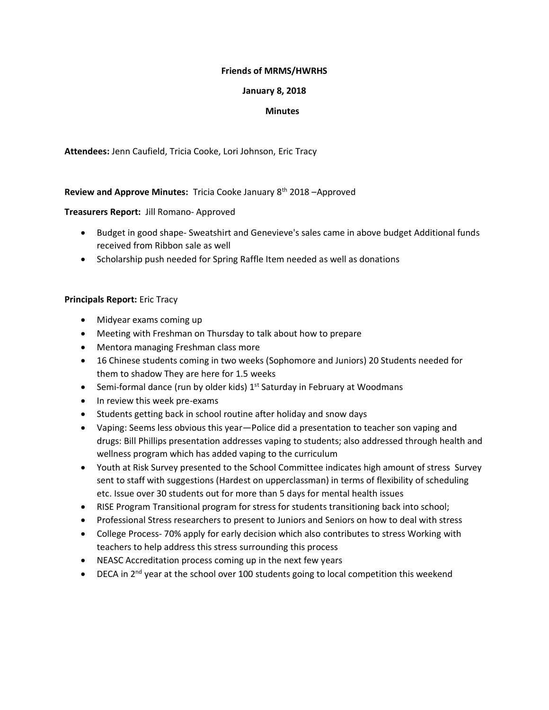## **Friends of MRMS/HWRHS**

## **January 8, 2018**

## **Minutes**

**Attendees:** Jenn Caufield, Tricia Cooke, Lori Johnson, Eric Tracy

# **Review and Approve Minutes:** Tricia Cooke January 8th 2018 –Approved

# **Treasurers Report:** Jill Romano- Approved

- Budget in good shape- Sweatshirt and Genevieve's sales came in above budget Additional funds received from Ribbon sale as well
- Scholarship push needed for Spring Raffle Item needed as well as donations

# **Principals Report:** Eric Tracy

- Midyear exams coming up
- Meeting with Freshman on Thursday to talk about how to prepare
- Mentora managing Freshman class more
- 16 Chinese students coming in two weeks (Sophomore and Juniors) 20 Students needed for them to shadow They are here for 1.5 weeks
- Semi-formal dance (run by older kids)  $1<sup>st</sup>$  Saturday in February at Woodmans
- In review this week pre-exams
- Students getting back in school routine after holiday and snow days
- Vaping: Seems less obvious this year—Police did a presentation to teacher son vaping and drugs: Bill Phillips presentation addresses vaping to students; also addressed through health and wellness program which has added vaping to the curriculum
- Youth at Risk Survey presented to the School Committee indicates high amount of stress Survey sent to staff with suggestions (Hardest on upperclassman) in terms of flexibility of scheduling etc. Issue over 30 students out for more than 5 days for mental health issues
- RISE Program Transitional program for stress for students transitioning back into school;
- Professional Stress researchers to present to Juniors and Seniors on how to deal with stress
- College Process- 70% apply for early decision which also contributes to stress Working with teachers to help address this stress surrounding this process
- NEASC Accreditation process coming up in the next few years
- DECA in  $2^{nd}$  year at the school over 100 students going to local competition this weekend